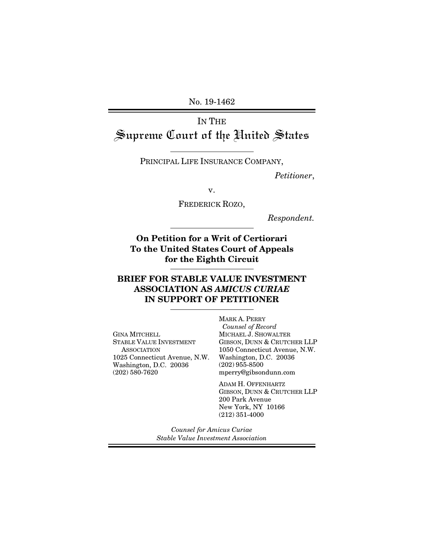No. 19-1462

# IN THE Supreme Court of the United States

PRINCIPAL LIFE INSURANCE COMPANY,

*Petitioner*,

v.

FREDERICK ROZO,

*Respondent.*

**On Petition for a Writ of Certiorari To the United States Court of Appeals for the Eighth Circuit**

### **BRIEF FOR STABLE VALUE INVESTMENT ASSOCIATION AS** *AMICUS CURIAE* **IN SUPPORT OF PETITIONER**

GINA MITCHELL STABLE VALUE INVESTMENT **ASSOCIATION** 1025 Connecticut Avenue, N.W. Washington, D.C. 20036 (202) 580-7620

MARK A. PERRY *Counsel of Record* MICHAEL J. SHOWALTER GIBSON, DUNN & CRUTCHER LLP 1050 Connecticut Avenue, N.W. Washington, D.C. 20036 (202) 955-8500 mperry@gibsondunn.com

ADAM H. OFFENHARTZ GIBSON, DUNN & CRUTCHER LLP 200 Park Avenue New York, NY 10166 (212) 351-4000

*Counsel for Amicus Curiae Stable Value Investment Association*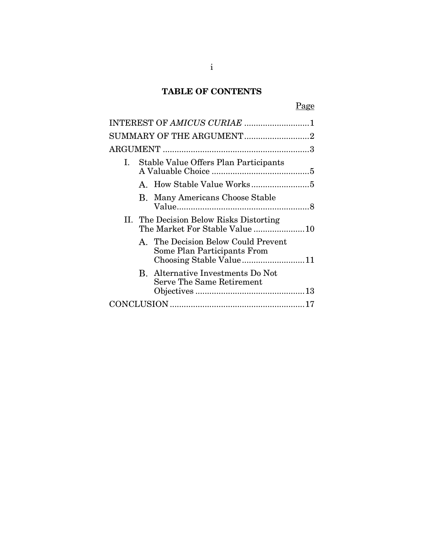# **TABLE OF CONTENTS**

# Page

|                          | INTEREST OF AMICUS CURIAE 1                                              |  |  |  |  |
|--------------------------|--------------------------------------------------------------------------|--|--|--|--|
| SUMMARY OF THE ARGUMENT2 |                                                                          |  |  |  |  |
|                          |                                                                          |  |  |  |  |
|                          | I. Stable Value Offers Plan Participants                                 |  |  |  |  |
|                          |                                                                          |  |  |  |  |
|                          | B. Many Americans Choose Stable                                          |  |  |  |  |
|                          | II. The Decision Below Risks Distorting<br>The Market For Stable Value10 |  |  |  |  |
|                          | A. The Decision Below Could Prevent<br>Some Plan Participants From       |  |  |  |  |
|                          | <b>B.</b> Alternative Investments Do Not<br>Serve The Same Retirement    |  |  |  |  |
|                          |                                                                          |  |  |  |  |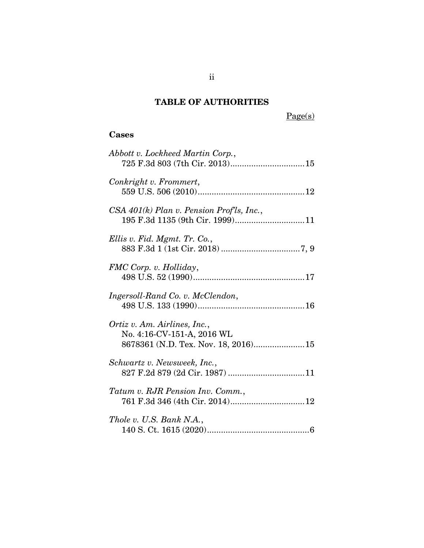# **TABLE OF AUTHORITIES**

Page(s)

## **Cases**

| Abbott v. Lockheed Martin Corp.,                                                                   |
|----------------------------------------------------------------------------------------------------|
| Conkright v. Frommert,                                                                             |
| CSA 401(k) Plan v. Pension Profls, Inc.,<br>195 F.3d 1135 (9th Cir. 1999)11                        |
| Ellis v. Fid. Mgmt. Tr. Co.,                                                                       |
| FMC Corp. v. Holliday,                                                                             |
| Ingersoll-Rand Co. v. McClendon,                                                                   |
| Ortiz v. Am. Airlines, Inc.,<br>No. 4:16-CV-151-A, 2016 WL<br>8678361 (N.D. Tex. Nov. 18, 2016) 15 |
| Schwartz v. Newsweek, Inc.,<br>827 F.2d 879 (2d Cir. 1987) 11                                      |
| Tatum v. RJR Pension Inv. Comm.,                                                                   |
| Thole v. U.S. Bank N.A.,                                                                           |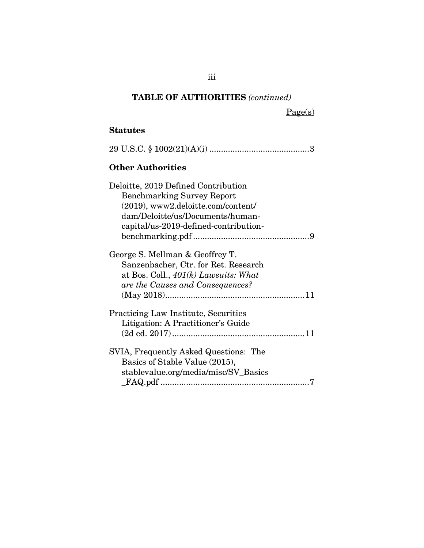# **TABLE OF AUTHORITIES** *(continued)*

## Page(s)

## **Statutes**

# **Other Authorities**

| Deloitte, 2019 Defined Contribution         |  |
|---------------------------------------------|--|
| <b>Benchmarking Survey Report</b>           |  |
| $(2019)$ , www2.deloitte.com/content/       |  |
| dam/Deloitte/us/Documents/human-            |  |
| capital/us-2019-defined-contribution-       |  |
|                                             |  |
| George S. Mellman & Geoffrey T.             |  |
| Sanzenbacher, Ctr. for Ret. Research        |  |
| at Bos. Coll., $401(k)$ Lawsuits: What      |  |
| are the Causes and Consequences?            |  |
|                                             |  |
| <b>Practicing Law Institute, Securities</b> |  |
| Litigation: A Practitioner's Guide          |  |
|                                             |  |
| SVIA, Frequently Asked Questions: The       |  |
| Basics of Stable Value (2015),              |  |
| stablevalue.org/media/misc/SV_Basics        |  |
|                                             |  |
|                                             |  |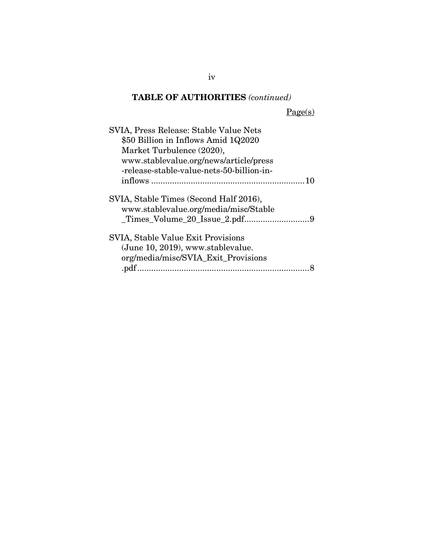# **TABLE OF AUTHORITIES** *(continued)*

## Page(s)

| SVIA, Press Release: Stable Value Nets<br>\$50 Billion in Inflows Amid 1Q2020<br>Market Turbulence (2020),     |  |
|----------------------------------------------------------------------------------------------------------------|--|
| www.stablevalue.org/news/article/press                                                                         |  |
| -release-stable-value-nets-50-billion-in-                                                                      |  |
|                                                                                                                |  |
| SVIA, Stable Times (Second Half 2016),<br>www.stablevalue.org/media/misc/Stable                                |  |
| SVIA, Stable Value Exit Provisions<br>(June 10, 2019), www.stablevalue.<br>org/media/misc/SVIA_Exit_Provisions |  |
| .pdf                                                                                                           |  |

### iv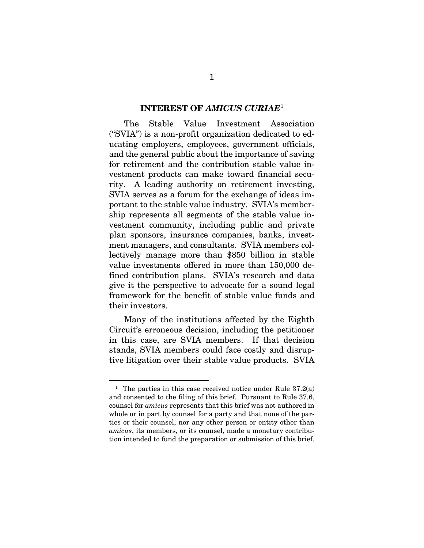### **INTEREST OF** *AMICUS CURIAE*[1](#page-5-1)

<span id="page-5-0"></span>The Stable Value Investment Association ("SVIA") is a non-profit organization dedicated to educating employers, employees, government officials, and the general public about the importance of saving for retirement and the contribution stable value investment products can make toward financial security. A leading authority on retirement investing, SVIA serves as a forum for the exchange of ideas important to the stable value industry. SVIA's membership represents all segments of the stable value investment community, including public and private plan sponsors, insurance companies, banks, investment managers, and consultants. SVIA members collectively manage more than \$850 billion in stable value investments offered in more than 150,000 defined contribution plans. SVIA's research and data give it the perspective to advocate for a sound legal framework for the benefit of stable value funds and their investors.

Many of the institutions affected by the Eighth Circuit's erroneous decision, including the petitioner in this case, are SVIA members. If that decision stands, SVIA members could face costly and disruptive litigation over their stable value products. SVIA

<span id="page-5-1"></span><sup>&</sup>lt;sup>1</sup> The parties in this case received notice under Rule 37.2(a) and consented to the filing of this brief. Pursuant to Rule 37.6, counsel for *amicus* represents that this brief was not authored in whole or in part by counsel for a party and that none of the parties or their counsel, nor any other person or entity other than *amicus*, its members, or its counsel, made a monetary contribution intended to fund the preparation or submission of this brief.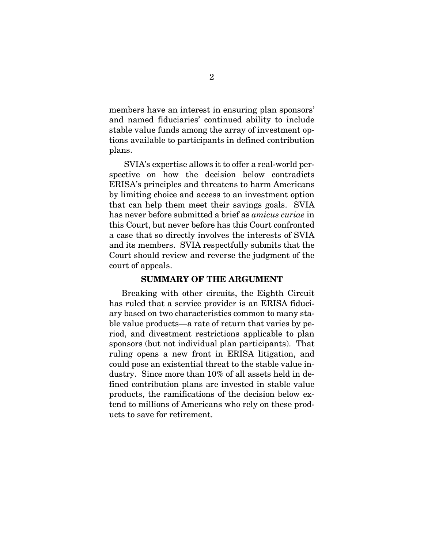members have an interest in ensuring plan sponsors' and named fiduciaries' continued ability to include stable value funds among the array of investment options available to participants in defined contribution plans.

SVIA's expertise allows it to offer a real-world perspective on how the decision below contradicts ERISA's principles and threatens to harm Americans by limiting choice and access to an investment option that can help them meet their savings goals. SVIA has never before submitted a brief as *amicus curiae* in this Court, but never before has this Court confronted a case that so directly involves the interests of SVIA and its members. SVIA respectfully submits that the Court should review and reverse the judgment of the court of appeals.

### **SUMMARY OF THE ARGUMENT**

<span id="page-6-0"></span>Breaking with other circuits, the Eighth Circuit has ruled that a service provider is an ERISA fiduciary based on two characteristics common to many stable value products—a rate of return that varies by period, and divestment restrictions applicable to plan sponsors (but not individual plan participants). That ruling opens a new front in ERISA litigation, and could pose an existential threat to the stable value industry. Since more than 10% of all assets held in defined contribution plans are invested in stable value products, the ramifications of the decision below extend to millions of Americans who rely on these products to save for retirement.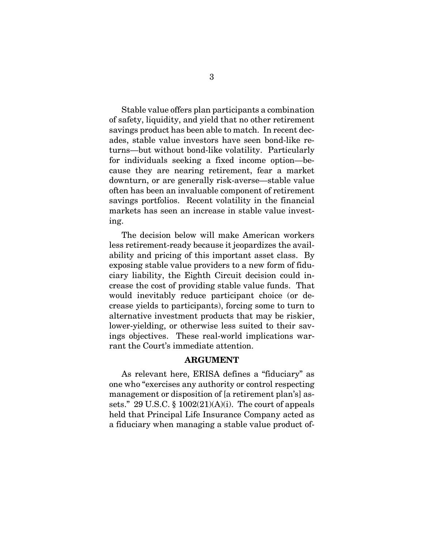Stable value offers plan participants a combination of safety, liquidity, and yield that no other retirement savings product has been able to match. In recent decades, stable value investors have seen bond-like returns—but without bond-like volatility. Particularly for individuals seeking a fixed income option—because they are nearing retirement, fear a market downturn, or are generally risk-averse—stable value often has been an invaluable component of retirement savings portfolios. Recent volatility in the financial markets has seen an increase in stable value investing.

The decision below will make American workers less retirement-ready because it jeopardizes the availability and pricing of this important asset class. By exposing stable value providers to a new form of fiduciary liability, the Eighth Circuit decision could increase the cost of providing stable value funds. That would inevitably reduce participant choice (or decrease yields to participants), forcing some to turn to alternative investment products that may be riskier, lower-yielding, or otherwise less suited to their savings objectives. These real-world implications warrant the Court's immediate attention.

### **ARGUMENT**

<span id="page-7-1"></span><span id="page-7-0"></span>As relevant here, ERISA defines a "fiduciary" as one who "exercises any authority or control respecting management or disposition of [a retirement plan's] assets." 29 U.S.C.  $\S$  1002(21)(A)(i). The court of appeals held that Principal Life Insurance Company acted as a fiduciary when managing a stable value product of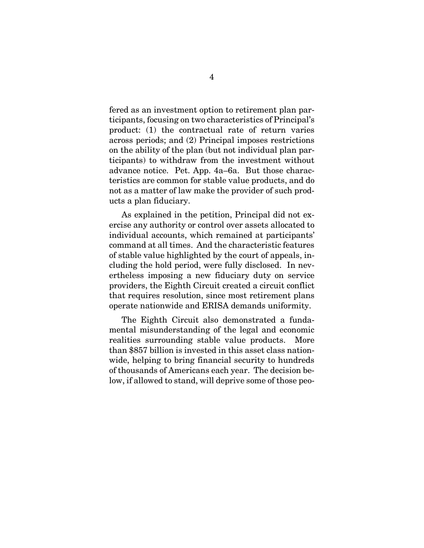fered as an investment option to retirement plan participants, focusing on two characteristics of Principal's product: (1) the contractual rate of return varies across periods; and (2) Principal imposes restrictions on the ability of the plan (but not individual plan participants) to withdraw from the investment without advance notice. Pet. App. 4a–6a. But those characteristics are common for stable value products, and do not as a matter of law make the provider of such products a plan fiduciary.

As explained in the petition, Principal did not exercise any authority or control over assets allocated to individual accounts, which remained at participants' command at all times. And the characteristic features of stable value highlighted by the court of appeals, including the hold period, were fully disclosed. In nevertheless imposing a new fiduciary duty on service providers, the Eighth Circuit created a circuit conflict that requires resolution, since most retirement plans operate nationwide and ERISA demands uniformity.

The Eighth Circuit also demonstrated a fundamental misunderstanding of the legal and economic realities surrounding stable value products. More than \$857 billion is invested in this asset class nationwide, helping to bring financial security to hundreds of thousands of Americans each year. The decision below, if allowed to stand, will deprive some of those peo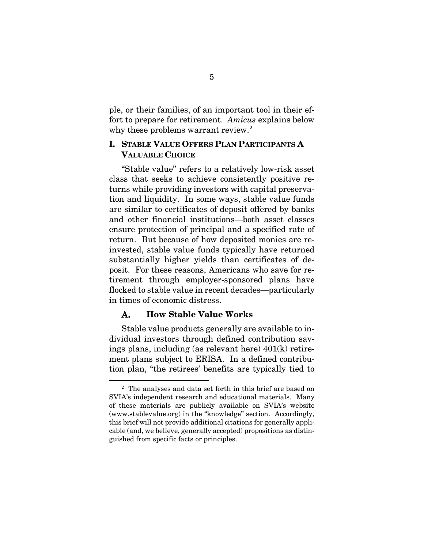ple, or their families, of an important tool in their effort to prepare for retirement. *Amicus* explains below why these problems warrant review.<sup>[2](#page-9-2)</sup>

### <span id="page-9-0"></span>**I. STABLE VALUE OFFERS PLAN PARTICIPANTS A VALUABLE CHOICE**

"Stable value" refers to a relatively low-risk asset class that seeks to achieve consistently positive returns while providing investors with capital preservation and liquidity. In some ways, stable value funds are similar to certificates of deposit offered by banks and other financial institutions—both asset classes ensure protection of principal and a specified rate of return. But because of how deposited monies are reinvested, stable value funds typically have returned substantially higher yields than certificates of deposit. For these reasons, Americans who save for retirement through employer-sponsored plans have flocked to stable value in recent decades—particularly in times of economic distress.

#### <span id="page-9-1"></span> $\mathbf{A}$ . **How Stable Value Works**

Stable value products generally are available to individual investors through defined contribution savings plans, including (as relevant here) 401(k) retirement plans subject to ERISA. In a defined contribution plan, "the retirees' benefits are typically tied to

<span id="page-9-2"></span> <sup>2</sup> The analyses and data set forth in this brief are based on SVIA's independent research and educational materials. Many of these materials are publicly available on SVIA's website (www.stablevalue.org) in the "knowledge" section. Accordingly, this brief will not provide additional citations for generally applicable (and, we believe, generally accepted) propositions as distinguished from specific facts or principles.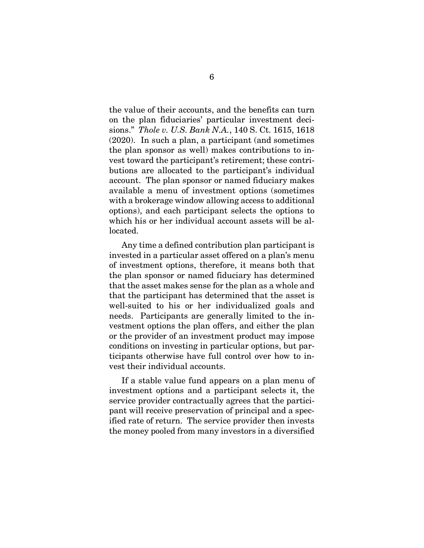<span id="page-10-0"></span>the value of their accounts, and the benefits can turn on the plan fiduciaries' particular investment decisions." *Thole v. U.S. Bank N.A.*, 140 S. Ct. 1615, 1618 (2020). In such a plan, a participant (and sometimes the plan sponsor as well) makes contributions to invest toward the participant's retirement; these contributions are allocated to the participant's individual account. The plan sponsor or named fiduciary makes available a menu of investment options (sometimes with a brokerage window allowing access to additional options), and each participant selects the options to which his or her individual account assets will be allocated.

Any time a defined contribution plan participant is invested in a particular asset offered on a plan's menu of investment options, therefore, it means both that the plan sponsor or named fiduciary has determined that the asset makes sense for the plan as a whole and that the participant has determined that the asset is well-suited to his or her individualized goals and needs. Participants are generally limited to the investment options the plan offers, and either the plan or the provider of an investment product may impose conditions on investing in particular options, but participants otherwise have full control over how to invest their individual accounts.

If a stable value fund appears on a plan menu of investment options and a participant selects it, the service provider contractually agrees that the participant will receive preservation of principal and a specified rate of return. The service provider then invests the money pooled from many investors in a diversified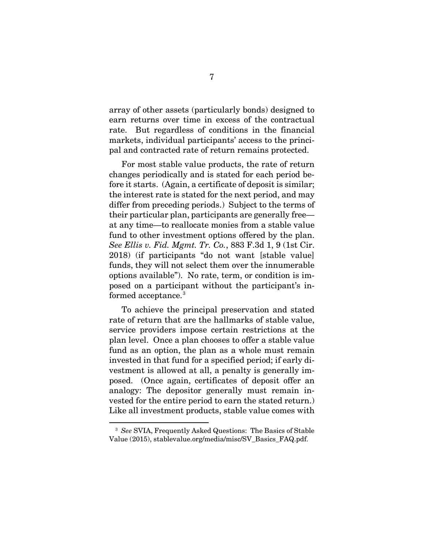array of other assets (particularly bonds) designed to earn returns over time in excess of the contractual rate. But regardless of conditions in the financial markets, individual participants' access to the principal and contracted rate of return remains protected.

For most stable value products, the rate of return changes periodically and is stated for each period before it starts. (Again, a certificate of deposit is similar; the interest rate is stated for the next period, and may differ from preceding periods.) Subject to the terms of their particular plan, participants are generally free at any time—to reallocate monies from a stable value fund to other investment options offered by the plan. *See Ellis v. Fid. Mgmt. Tr. Co.*, 883 F.3d 1, 9 (1st Cir. 2018) (if participants "do not want [stable value] funds, they will not select them over the innumerable options available"). No rate, term, or condition is imposed on a participant without the participant's in-formed acceptance.<sup>[3](#page-11-2)</sup>

<span id="page-11-0"></span>To achieve the principal preservation and stated rate of return that are the hallmarks of stable value, service providers impose certain restrictions at the plan level.Once a plan chooses to offer a stable value fund as an option, the plan as a whole must remain invested in that fund for a specified period; if early divestment is allowed at all, a penalty is generally imposed. (Once again, certificates of deposit offer an analogy: The depositor generally must remain invested for the entire period to earn the stated return.) Like all investment products, stable value comes with

<span id="page-11-2"></span><span id="page-11-1"></span> <sup>3</sup> *See* SVIA, Frequently Asked Questions: The Basics of Stable Value (2015), stablevalue.org/media/misc/SV\_Basics\_FAQ.pdf.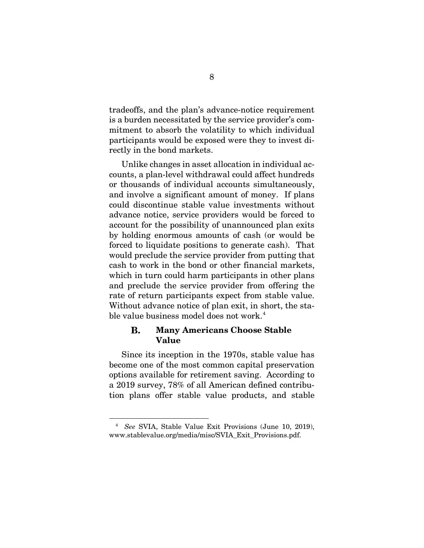tradeoffs, and the plan's advance-notice requirement is a burden necessitated by the service provider's commitment to absorb the volatility to which individual participants would be exposed were they to invest directly in the bond markets.

Unlike changes in asset allocation in individual accounts, a plan-level withdrawal could affect hundreds or thousands of individual accounts simultaneously, and involve a significant amount of money. If plans could discontinue stable value investments without advance notice, service providers would be forced to account for the possibility of unannounced plan exits by holding enormous amounts of cash (or would be forced to liquidate positions to generate cash). That would preclude the service provider from putting that cash to work in the bond or other financial markets, which in turn could harm participants in other plans and preclude the service provider from offering the rate of return participants expect from stable value. Without advance notice of plan exit, in short, the sta-ble value business model does not work.<sup>[4](#page-12-2)</sup>

#### <span id="page-12-0"></span>**B. Many Americans Choose Stable Value**

Since its inception in the 1970s, stable value has become one of the most common capital preservation options available for retirement saving. According to a 2019 survey, 78% of all American defined contribution plans offer stable value products, and stable

<span id="page-12-2"></span><span id="page-12-1"></span> <sup>4</sup> *See* SVIA, Stable Value Exit Provisions (June 10, 2019), www.stablevalue.org/media/misc/SVIA\_Exit\_Provisions.pdf.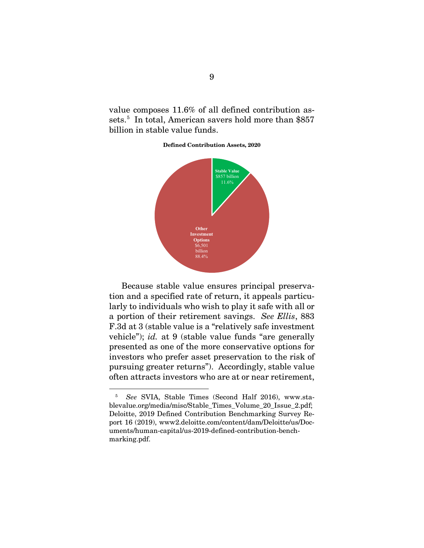value composes 11.6% of all defined contribution as-sets.<sup>[5](#page-13-3)</sup> In total, American savers hold more than \$857 billion in stable value funds.

**Defined Contribution Assets, 2020**



<span id="page-13-0"></span>Because stable value ensures principal preservation and a specified rate of return, it appeals particularly to individuals who wish to play it safe with all or a portion of their retirement savings. *See Ellis*, 883 F.3d at 3 (stable value is a "relatively safe investment vehicle"); *id.* at 9 (stable value funds "are generally presented as one of the more conservative options for investors who prefer asset preservation to the risk of pursuing greater returns"). Accordingly, stable value often attracts investors who are at or near retirement,

<span id="page-13-3"></span><span id="page-13-2"></span><span id="page-13-1"></span> <sup>5</sup> *See* SVIA, Stable Times (Second Half 2016), www.stablevalue.org/media/misc/Stable\_Times\_Volume\_20\_Issue\_2.pdf; Deloitte, 2019 Defined Contribution Benchmarking Survey Report 16 (2019), www2.deloitte.com/content/dam/Deloitte/us/Documents/human-capital/us-2019-defined-contribution-benchmarking.pdf.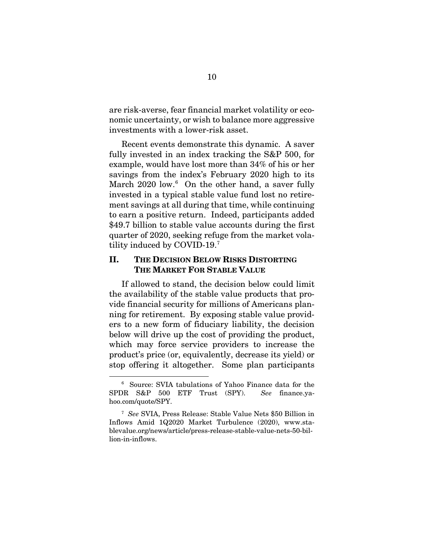are risk-averse, fear financial market volatility or economic uncertainty, or wish to balance more aggressive investments with a lower-risk asset.

Recent events demonstrate this dynamic. A saver fully invested in an index tracking the S&P 500, for example, would have lost more than 34% of his or her savings from the index's February 2020 high to its March 2020 low.<sup>[6](#page-14-2)</sup> On the other hand, a saver fully invested in a typical stable value fund lost no retirement savings at all during that time, while continuing to earn a positive return. Indeed, participants added \$49.7 billion to stable value accounts during the first quarter of 2020, seeking refuge from the market volatility induced by COVID-19.[7](#page-14-3)

### <span id="page-14-0"></span>**II. THE DECISION BELOW RISKS DISTORTING THE MARKET FOR STABLE VALUE**

If allowed to stand, the decision below could limit the availability of the stable value products that provide financial security for millions of Americans planning for retirement. By exposing stable value providers to a new form of fiduciary liability, the decision below will drive up the cost of providing the product, which may force service providers to increase the product's price (or, equivalently, decrease its yield) or stop offering it altogether. Some plan participants

<span id="page-14-2"></span> <sup>6</sup> Source: SVIA tabulations of Yahoo Finance data for the SPDR S&P 500 ETF Trust (SPY). *See* finance.yahoo.com/quote/SPY.

<span id="page-14-3"></span><span id="page-14-1"></span><sup>7</sup> *See* SVIA, Press Release: Stable Value Nets \$50 Billion in Inflows Amid 1Q2020 Market Turbulence (2020), www.stablevalue.org/news/article/press-release-stable-value-nets-50-billion-in-inflows.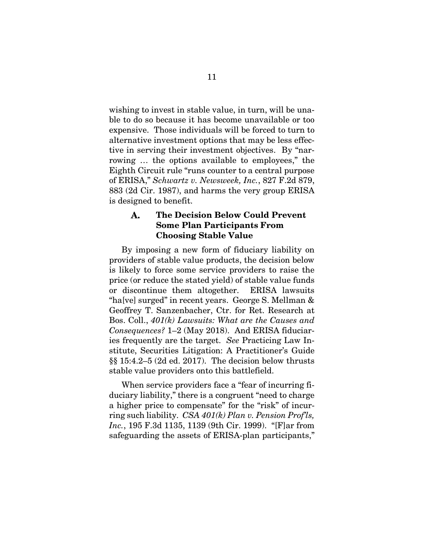wishing to invest in stable value, in turn, will be unable to do so because it has become unavailable or too expensive. Those individuals will be forced to turn to alternative investment options that may be less effective in serving their investment objectives. By "narrowing … the options available to employees," the Eighth Circuit rule "runs counter to a central purpose of ERISA," *Schwartz v. Newsweek, Inc.*, 827 F.2d 879, 883 (2d Cir. 1987), and harms the very group ERISA is designed to benefit.

#### <span id="page-15-3"></span><span id="page-15-2"></span><span id="page-15-0"></span>A. **The Decision Below Could Prevent Some Plan Participants From Choosing Stable Value**

By imposing a new form of fiduciary liability on providers of stable value products, the decision below is likely to force some service providers to raise the price (or reduce the stated yield) of stable value funds or discontinue them altogether. ERISA lawsuits "ha[ve] surged" in recent years. George S. Mellman & Geoffrey T. Sanzenbacher, Ctr. for Ret. Research at Bos. Coll., *401(k) Lawsuits: What are the Causes and Consequences?* 1–2 (May 2018). And ERISA fiduciaries frequently are the target. *See* Practicing Law Institute, Securities Litigation: A Practitioner's Guide §§ 15:4.2–5 (2d ed. 2017). The decision below thrusts stable value providers onto this battlefield.

<span id="page-15-4"></span><span id="page-15-1"></span>When service providers face a "fear of incurring fiduciary liability," there is a congruent "need to charge a higher price to compensate" for the "risk" of incurring such liability. *CSA 401(k) Plan v. Pension Prof'ls, Inc.*, 195 F.3d 1135, 1139 (9th Cir. 1999). "[F]ar from safeguarding the assets of ERISA-plan participants,"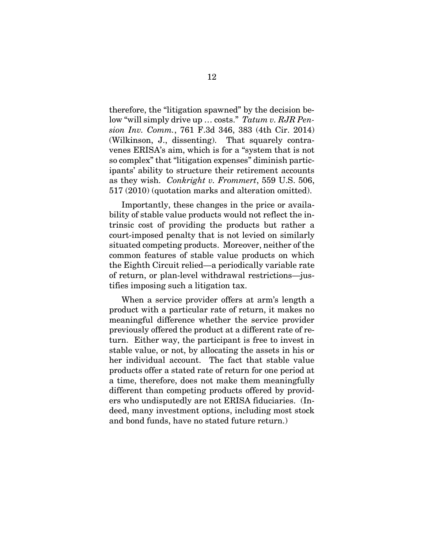<span id="page-16-1"></span>therefore, the "litigation spawned" by the decision below "will simply drive up … costs." *Tatum v. RJR Pension Inv. Comm.*, 761 F.3d 346, 383 (4th Cir. 2014) (Wilkinson, J., dissenting). That squarely contravenes ERISA's aim, which is for a "system that is not so complex" that "litigation expenses" diminish participants' ability to structure their retirement accounts as they wish. *Conkright v. Frommert*, 559 U.S. 506, 517 (2010) (quotation marks and alteration omitted).

<span id="page-16-0"></span>Importantly, these changes in the price or availability of stable value products would not reflect the intrinsic cost of providing the products but rather a court-imposed penalty that is not levied on similarly situated competing products. Moreover, neither of the common features of stable value products on which the Eighth Circuit relied—a periodically variable rate of return, or plan-level withdrawal restrictions—justifies imposing such a litigation tax.

When a service provider offers at arm's length a product with a particular rate of return, it makes no meaningful difference whether the service provider previously offered the product at a different rate of return. Either way, the participant is free to invest in stable value, or not, by allocating the assets in his or her individual account. The fact that stable value products offer a stated rate of return for one period at a time, therefore, does not make them meaningfully different than competing products offered by providers who undisputedly are not ERISA fiduciaries. (Indeed, many investment options, including most stock and bond funds, have no stated future return.)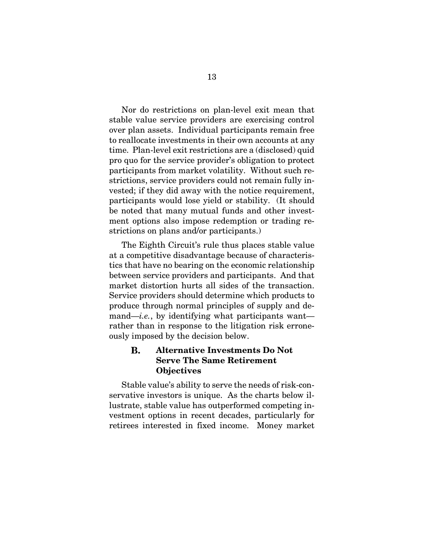Nor do restrictions on plan-level exit mean that stable value service providers are exercising control over plan assets. Individual participants remain free to reallocate investments in their own accounts at any time. Plan-level exit restrictions are a (disclosed) quid pro quo for the service provider's obligation to protect participants from market volatility. Without such restrictions, service providers could not remain fully invested; if they did away with the notice requirement, participants would lose yield or stability. (It should be noted that many mutual funds and other investment options also impose redemption or trading restrictions on plans and/or participants.)

The Eighth Circuit's rule thus places stable value at a competitive disadvantage because of characteristics that have no bearing on the economic relationship between service providers and participants. And that market distortion hurts all sides of the transaction. Service providers should determine which products to produce through normal principles of supply and demand—*i.e.*, by identifying what participants want rather than in response to the litigation risk erroneously imposed by the decision below.

#### <span id="page-17-0"></span>**B. Alternative Investments Do Not Serve The Same Retirement Objectives**

Stable value's ability to serve the needs of risk-conservative investors is unique. As the charts below illustrate, stable value has outperformed competing investment options in recent decades, particularly for retirees interested in fixed income. Money market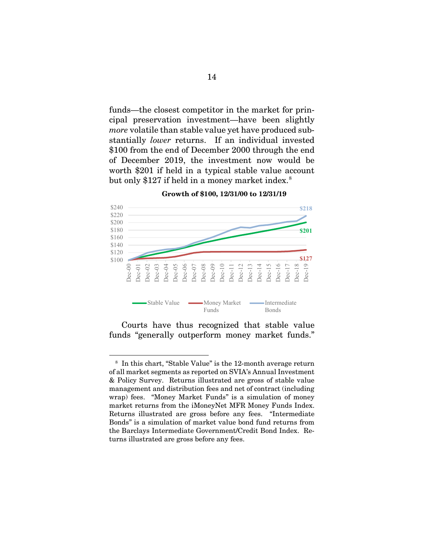funds—the closest competitor in the market for principal preservation investment—have been slightly *more* volatile than stable value yet have produced substantially *lower* returns. If an individual invested \$100 from the end of December 2000 through the end of December 2019, the investment now would be worth \$201 if held in a typical stable value account but only \$127 if held in a money market index.<sup>[8](#page-18-0)</sup>



**Growth of \$100, 12/31/00 to 12/31/19**

Courts have thus recognized that stable value funds "generally outperform money market funds."

<span id="page-18-0"></span> <sup>8</sup> In this chart, "Stable Value" is the 12-month average return of all market segments as reported on SVIA's Annual Investment & Policy Survey. Returns illustrated are gross of stable value management and distribution fees and net of contract (including wrap) fees. "Money Market Funds" is a simulation of money market returns from the iMoneyNet MFR Money Funds Index. Returns illustrated are gross before any fees. "Intermediate Bonds" is a simulation of market value bond fund returns from the Barclays Intermediate Government/Credit Bond Index. Returns illustrated are gross before any fees.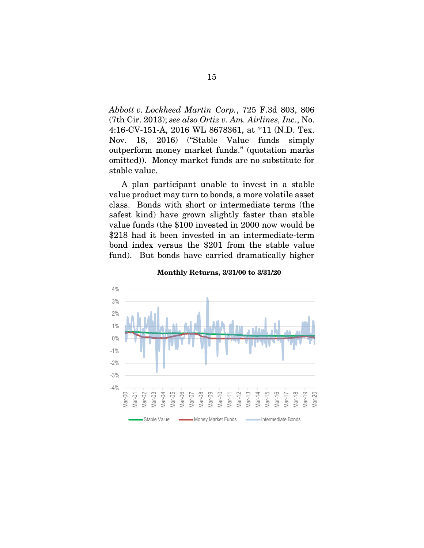<span id="page-19-1"></span><span id="page-19-0"></span>*Abbott v. Lockheed Martin Corp.*, 725 F.3d 803, 806 (7th Cir. 2013); *see also Ortiz v. Am. Airlines, Inc.*, No. 4:16-CV-151-A, 2016 WL 8678361, at \*11 (N.D. Tex. Nov. 18, 2016) ("Stable Value funds simply outperform money market funds." (quotation marks omitted)). Money market funds are no substitute for stable value.

A plan participant unable to invest in a stable value product may turn to bonds, a more volatile asset class. Bonds with short or intermediate terms (the safest kind) have grown slightly faster than stable value funds (the \$100 invested in 2000 now would be \$218 had it been invested in an intermediate-term bond index versus the \$201 from the stable value fund). But bonds have carried dramatically higher

#### $-4%$ -3% -2% -1% 0% 1% 2% 3% 4% Mar-00 Mar-01 Mar-02 Mar-03 Mar-04 Mar-05 Mar-06 Mar-07 Mar-08 Mar-09 Mar-10 Mar-11 Mar-12 Mar-13 Mar-14 Mar-15 Mar-16 Mar-17 Mar-18 Mar-19 Mar-20 Stable Value Money Market Funds **Intermediate Bonds**

#### **Monthly Returns, 3/31/00 to 3/31/20**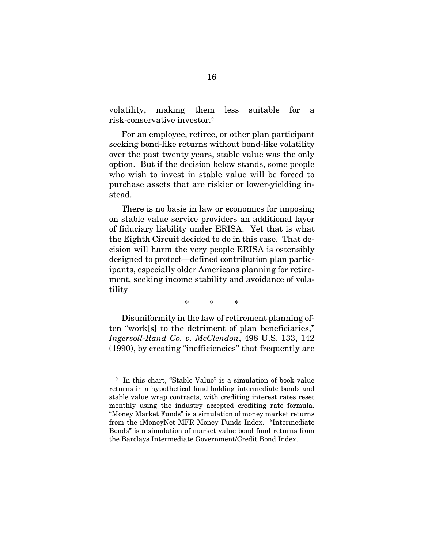volatility, making them less suitable for a risk-conservative investor.[9](#page-20-1)

For an employee, retiree, or other plan participant seeking bond-like returns without bond-like volatility over the past twenty years, stable value was the only option. But if the decision below stands, some people who wish to invest in stable value will be forced to purchase assets that are riskier or lower-yielding instead.

There is no basis in law or economics for imposing on stable value service providers an additional layer of fiduciary liability under ERISA. Yet that is what the Eighth Circuit decided to do in this case. That decision will harm the very people ERISA is ostensibly designed to protect—defined contribution plan participants, especially older Americans planning for retirement, seeking income stability and avoidance of volatility.

\* \* \*

<span id="page-20-0"></span>Disuniformity in the law of retirement planning often "work[s] to the detriment of plan beneficiaries," *Ingersoll-Rand Co. v. McClendon*, 498 U.S. 133, 142 (1990), by creating "inefficiencies" that frequently are

<span id="page-20-1"></span> <sup>9</sup> In this chart, "Stable Value" is a simulation of book value returns in a hypothetical fund holding intermediate bonds and stable value wrap contracts, with crediting interest rates reset monthly using the industry accepted crediting rate formula. "Money Market Funds" is a simulation of money market returns from the iMoneyNet MFR Money Funds Index. "Intermediate Bonds" is a simulation of market value bond fund returns from the Barclays Intermediate Government/Credit Bond Index.